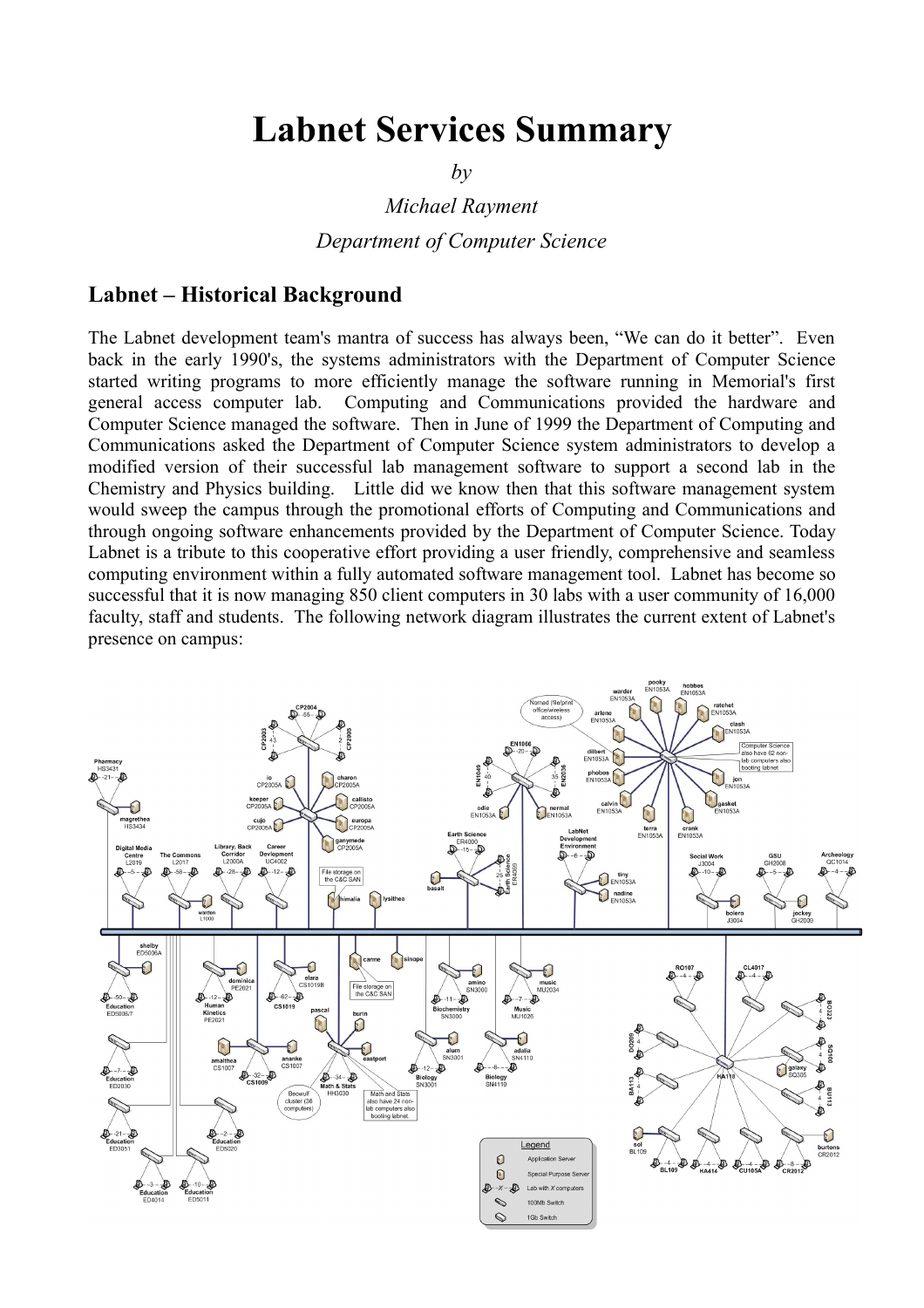# **Labnet Services Summary**

*by*

*Michael Rayment*

*Department of Computer Science*

#### **Labnet – Historical Background**

The Labnet development team's mantra of success has always been, "We can do it better". Even back in the early 1990's, the systems administrators with the Department of Computer Science started writing programs to more efficiently manage the software running in Memorial's first general access computer lab. Computing and Communications provided the hardware and Computer Science managed the software. Then in June of 1999 the Department of Computing and Communications asked the Department of Computer Science system administrators to develop a modified version of their successful lab management software to support a second lab in the Chemistry and Physics building. Little did we know then that this software management system would sweep the campus through the promotional efforts of Computing and Communications and through ongoing software enhancements provided by the Department of Computer Science. Today Labnet is a tribute to this cooperative effort providing a user friendly, comprehensive and seamless computing environment within a fully automated software management tool. Labnet has become so successful that it is now managing 850 client computers in 30 labs with a user community of 16,000 faculty, staff and students. The following network diagram illustrates the current extent of Labnet's presence on campus:

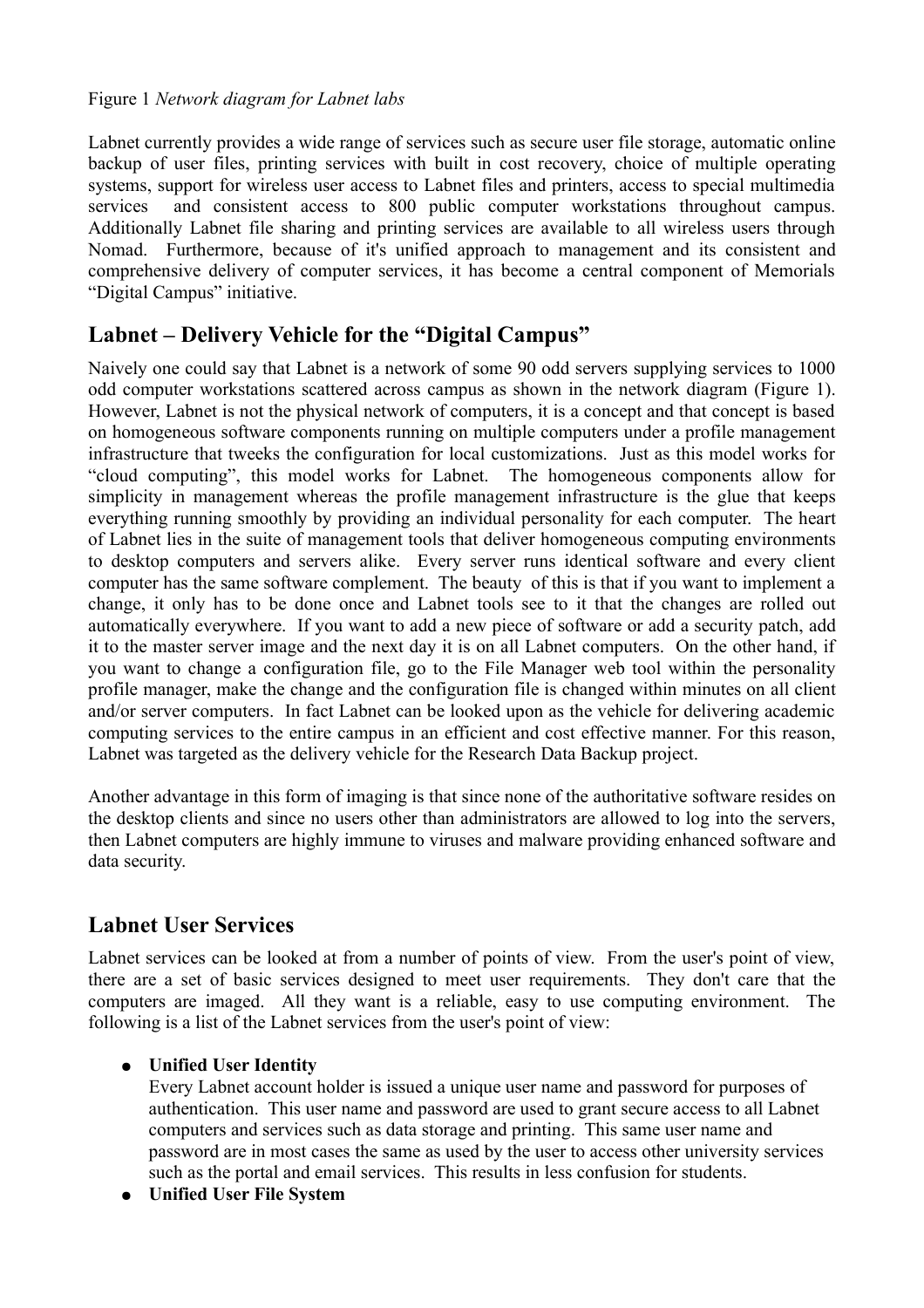#### Figure 1 *Network diagram for Labnet labs*

Labnet currently provides a wide range of services such as secure user file storage, automatic online backup of user files, printing services with built in cost recovery, choice of multiple operating systems, support for wireless user access to Labnet files and printers, access to special multimedia services and consistent access to 800 public computer workstations throughout campus. Additionally Labnet file sharing and printing services are available to all wireless users through Nomad. Furthermore, because of it's unified approach to management and its consistent and comprehensive delivery of computer services, it has become a central component of Memorials "Digital Campus" initiative.

## **Labnet – Delivery Vehicle for the "Digital Campus"**

Naively one could say that Labnet is a network of some 90 odd servers supplying services to 1000 odd computer workstations scattered across campus as shown in the network diagram (Figure 1). However, Labnet is not the physical network of computers, it is a concept and that concept is based on homogeneous software components running on multiple computers under a profile management infrastructure that tweeks the configuration for local customizations. Just as this model works for "cloud computing", this model works for Labnet. The homogeneous components allow for simplicity in management whereas the profile management infrastructure is the glue that keeps everything running smoothly by providing an individual personality for each computer. The heart of Labnet lies in the suite of management tools that deliver homogeneous computing environments to desktop computers and servers alike. Every server runs identical software and every client computer has the same software complement. The beauty of this is that if you want to implement a change, it only has to be done once and Labnet tools see to it that the changes are rolled out automatically everywhere. If you want to add a new piece of software or add a security patch, add it to the master server image and the next day it is on all Labnet computers. On the other hand, if you want to change a configuration file, go to the File Manager web tool within the personality profile manager, make the change and the configuration file is changed within minutes on all client and/or server computers. In fact Labnet can be looked upon as the vehicle for delivering academic computing services to the entire campus in an efficient and cost effective manner. For this reason, Labnet was targeted as the delivery vehicle for the Research Data Backup project.

Another advantage in this form of imaging is that since none of the authoritative software resides on the desktop clients and since no users other than administrators are allowed to log into the servers, then Labnet computers are highly immune to viruses and malware providing enhanced software and data security.

## **Labnet User Services**

Labnet services can be looked at from a number of points of view. From the user's point of view, there are a set of basic services designed to meet user requirements. They don't care that the computers are imaged. All they want is a reliable, easy to use computing environment. The following is a list of the Labnet services from the user's point of view:

#### ● **Unified User Identity**

Every Labnet account holder is issued a unique user name and password for purposes of authentication. This user name and password are used to grant secure access to all Labnet computers and services such as data storage and printing. This same user name and password are in most cases the same as used by the user to access other university services such as the portal and email services. This results in less confusion for students.

● **Unified User File System**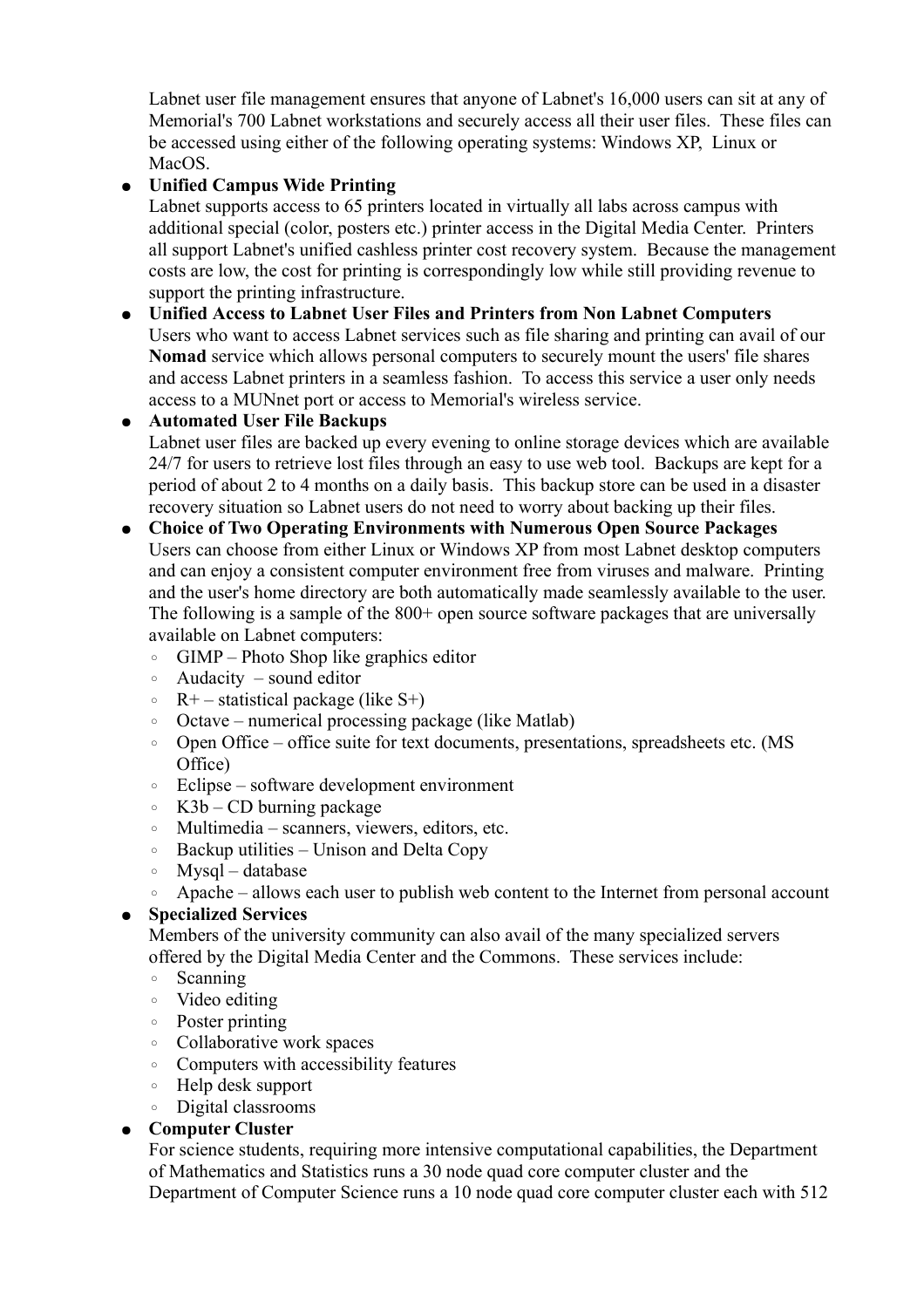Labnet user file management ensures that anyone of Labnet's 16,000 users can sit at any of Memorial's 700 Labnet workstations and securely access all their user files. These files can be accessed using either of the following operating systems: Windows XP, Linux or MacOS.

## ● **Unified Campus Wide Printing**

Labnet supports access to 65 printers located in virtually all labs across campus with additional special (color, posters etc.) printer access in the Digital Media Center. Printers all support Labnet's unified cashless printer cost recovery system. Because the management costs are low, the cost for printing is correspondingly low while still providing revenue to support the printing infrastructure.

#### ● **Unified Access to Labnet User Files and Printers from Non Labnet Computers** Users who want to access Labnet services such as file sharing and printing can avail of our **Nomad** service which allows personal computers to securely mount the users' file shares and access Labnet printers in a seamless fashion. To access this service a user only needs

#### access to a MUNnet port or access to Memorial's wireless service. ● **Automated User File Backups**

Labnet user files are backed up every evening to online storage devices which are available 24/7 for users to retrieve lost files through an easy to use web tool. Backups are kept for a period of about 2 to 4 months on a daily basis. This backup store can be used in a disaster recovery situation so Labnet users do not need to worry about backing up their files.

#### ● **Choice of Two Operating Environments with Numerous Open Source Packages** Users can choose from either Linux or Windows XP from most Labnet desktop computers and can enjoy a consistent computer environment free from viruses and malware. Printing and the user's home directory are both automatically made seamlessly available to the user. The following is a sample of the 800+ open source software packages that are universally available on Labnet computers:

- GIMP Photo Shop like graphics editor
- Audacity sound editor
- $\circ$  R+ statistical package (like S+)
- Octave numerical processing package (like Matlab)
- Open Office office suite for text documents, presentations, spreadsheets etc. (MS Office)
- Eclipse software development environment
- K3b CD burning package
- Multimedia scanners, viewers, editors, etc.
- Backup utilities Unison and Delta Copy
- Mysql database
- Apache allows each user to publish web content to the Internet from personal account

#### ● **Specialized Services**

Members of the university community can also avail of the many specialized servers offered by the Digital Media Center and the Commons. These services include:

- Scanning
- Video editing
- Poster printing
- Collaborative work spaces
- Computers with accessibility features
- Help desk support
- Digital classrooms

#### ● **Computer Cluster**

For science students, requiring more intensive computational capabilities, the Department of Mathematics and Statistics runs a 30 node quad core computer cluster and the Department of Computer Science runs a 10 node quad core computer cluster each with 512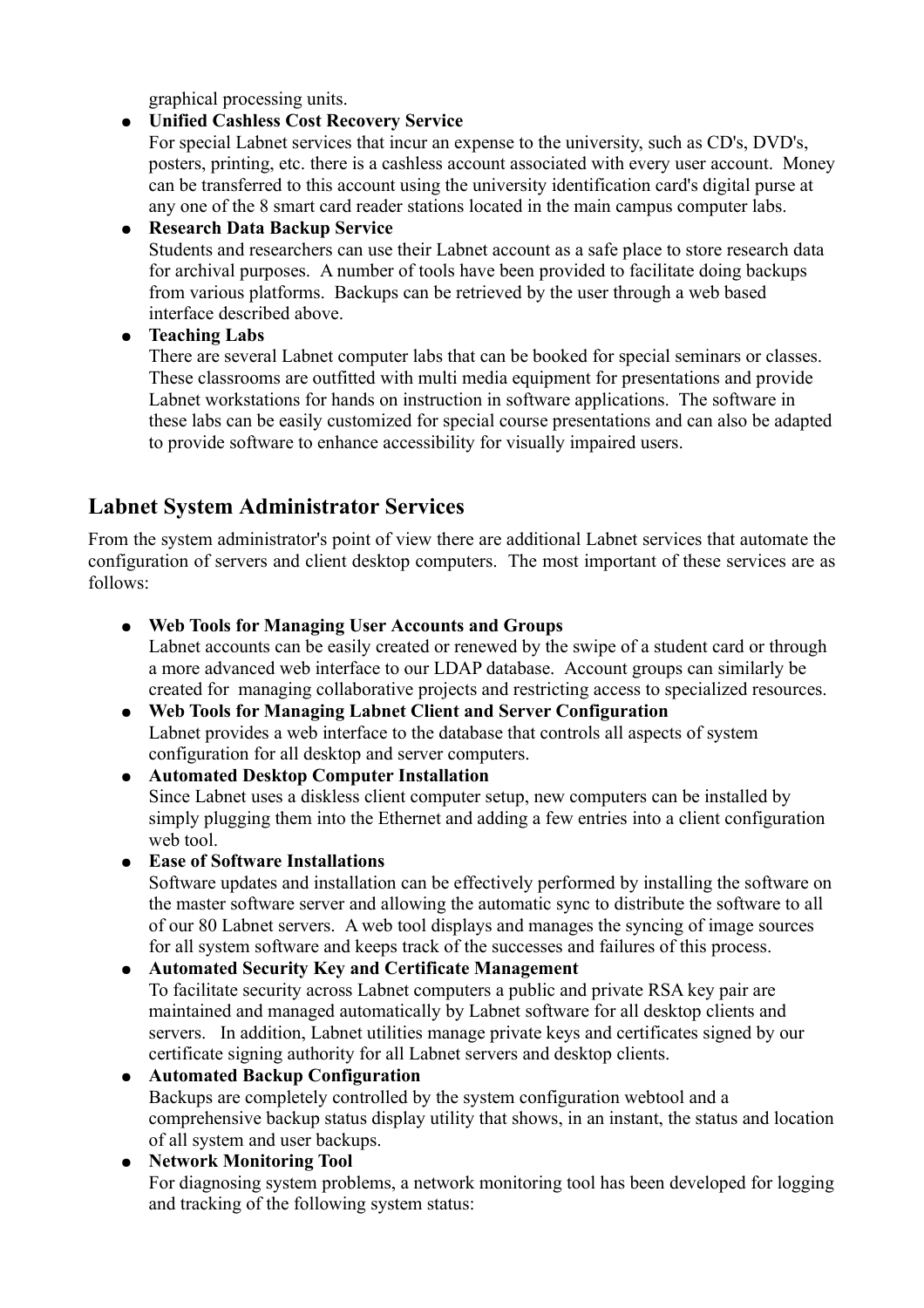graphical processing units.

## ● **Unified Cashless Cost Recovery Service**

For special Labnet services that incur an expense to the university, such as CD's, DVD's, posters, printing, etc. there is a cashless account associated with every user account. Money can be transferred to this account using the university identification card's digital purse at any one of the 8 smart card reader stations located in the main campus computer labs.

## ● **Research Data Backup Service**

Students and researchers can use their Labnet account as a safe place to store research data for archival purposes. A number of tools have been provided to facilitate doing backups from various platforms. Backups can be retrieved by the user through a web based interface described above.

● **Teaching Labs**

There are several Labnet computer labs that can be booked for special seminars or classes. These classrooms are outfitted with multi media equipment for presentations and provide Labnet workstations for hands on instruction in software applications. The software in these labs can be easily customized for special course presentations and can also be adapted to provide software to enhance accessibility for visually impaired users.

## **Labnet System Administrator Services**

From the system administrator's point of view there are additional Labnet services that automate the configuration of servers and client desktop computers. The most important of these services are as follows:

● **Web Tools for Managing User Accounts and Groups**

Labnet accounts can be easily created or renewed by the swipe of a student card or through a more advanced web interface to our LDAP database. Account groups can similarly be created for managing collaborative projects and restricting access to specialized resources.

- **Web Tools for Managing Labnet Client and Server Configuration** Labnet provides a web interface to the database that controls all aspects of system configuration for all desktop and server computers.
- **Automated Desktop Computer Installation** Since Labnet uses a diskless client computer setup, new computers can be installed by simply plugging them into the Ethernet and adding a few entries into a client configuration web tool.
- **Ease of Software Installations**

Software updates and installation can be effectively performed by installing the software on the master software server and allowing the automatic sync to distribute the software to all of our 80 Labnet servers. A web tool displays and manages the syncing of image sources for all system software and keeps track of the successes and failures of this process.

● **Automated Security Key and Certificate Management** To facilitate security across Labnet computers a public and private RSA key pair are maintained and managed automatically by Labnet software for all desktop clients and servers. In addition, Labnet utilities manage private keys and certificates signed by our

certificate signing authority for all Labnet servers and desktop clients. ● **Automated Backup Configuration** Backups are completely controlled by the system configuration webtool and a comprehensive backup status display utility that shows, in an instant, the status and location of all system and user backups.

● **Network Monitoring Tool** For diagnosing system problems, a network monitoring tool has been developed for logging and tracking of the following system status: